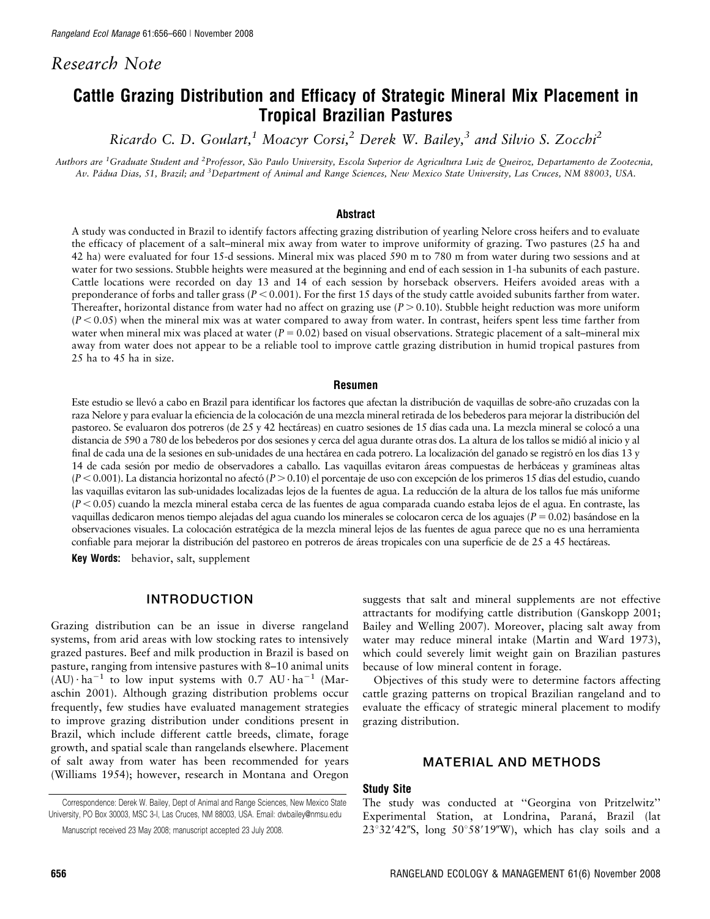# Research Note

# Cattle Grazing Distribution and Efficacy of Strategic Mineral Mix Placement in Tropical Brazilian Pastures

Ricardo C. D. Goulart,<sup>1</sup> Moacyr Corsi,<sup>2</sup> Derek W. Bailey,<sup>3</sup> and Silvio S. Zocchi<sup>2</sup>

Authors are <sup>1</sup>Graduate Student and <sup>2</sup>Professor, São Paulo University, Escola Superior de Agricultura Luiz de Queiroz, Departamento de Zootecnia, Av. Pádua Dias, 51, Brazil; and <sup>3</sup>Department of Animal and Range Sciences, New Mexico State University, Las Cruces, NM 88003, USA.

#### Abstract

A study was conducted in Brazil to identify factors affecting grazing distribution of yearling Nelore cross heifers and to evaluate the efficacy of placement of a salt–mineral mix away from water to improve uniformity of grazing. Two pastures (25 ha and 42 ha) were evaluated for four 15-d sessions. Mineral mix was placed 590 m to 780 m from water during two sessions and at water for two sessions. Stubble heights were measured at the beginning and end of each session in 1-ha subunits of each pasture. Cattle locations were recorded on day 13 and 14 of each session by horseback observers. Heifers avoided areas with a preponderance of forbs and taller grass ( $P < 0.001$ ). For the first 15 days of the study cattle avoided subunits farther from water. Thereafter, horizontal distance from water had no affect on grazing use  $(P > 0.10)$ . Stubble height reduction was more uniform  $(P<0.05)$  when the mineral mix was at water compared to away from water. In contrast, heifers spent less time farther from water when mineral mix was placed at water ( $P = 0.02$ ) based on visual observations. Strategic placement of a salt–mineral mix away from water does not appear to be a reliable tool to improve cattle grazing distribution in humid tropical pastures from 25 ha to 45 ha in size.

#### Resumen

Este estudio se llevó a cabo en Brazil para identificar los factores que afectan la distribución de vaquillas de sobre-año cruzadas con la raza Nelore y para evaluar la eficiencia de la colocación de una mezcla mineral retirada de los bebederos para mejorar la distribución del pastoreo. Se evaluaron dos potreros (de 25 y 42 hectáreas) en cuatro sesiones de 15 días cada una. La mezcla mineral se colocó a una distancia de 590 a 780 de los bebederos por dos sesiones y cerca del agua durante otras dos. La altura de los tallos se midió al inicio y al final de cada una de la sesiones en sub-unidades de una hectárea en cada potrero. La localización del ganado se registró en los días 13 y 14 de cada sesión por medio de observadores a caballo. Las vaquillas evitaron áreas compuestas de herbáceas y gramíneas altas  $(P< 0.001)$ . La distancia horizontal no afectó  $(P > 0.10)$  el porcentaje de uso con excepción de los primeros 15 días del estudio, cuando las vaquillas evitaron las sub-unidades localizadas lejos de la fuentes de agua. La reducción de la altura de los tallos fue más uniforme  $(P< 0.05)$  cuando la mezcla mineral estaba cerca de las fuentes de agua comparada cuando estaba lejos de el agua. En contraste, las vaquillas dedicaron menos tiempo alejadas del agua cuando los minerales se colocaron cerca de los aguajes ( $P = 0.02$ ) basándose en la observaciones visuales. La colocacio´n estrate´gica de la mezcla mineral lejos de las fuentes de agua parece que no es una herramienta confiable para mejorar la distribución del pastoreo en potreros de áreas tropicales con una superficie de de 25 a 45 hectáreas.

Key Words: behavior, salt, supplement

# INTRODUCTION

Grazing distribution can be an issue in diverse rangeland systems, from arid areas with low stocking rates to intensively grazed pastures. Beef and milk production in Brazil is based on pasture, ranging from intensive pastures with 8–10 animal units  $(AU) \cdot ha^{-1}$  to low input systems with 0.7 AU $\cdot ha^{-1}$  (Maraschin 2001). Although grazing distribution problems occur frequently, few studies have evaluated management strategies to improve grazing distribution under conditions present in Brazil, which include different cattle breeds, climate, forage growth, and spatial scale than rangelands elsewhere. Placement of salt away from water has been recommended for years (Williams 1954); however, research in Montana and Oregon

Correspondence: Derek W. Bailey, Dept of Animal and Range Sciences, New Mexico State University, PO Box 30003, MSC 3-I, Las Cruces, NM 88003, USA. Email: dwbailey@nmsu.edu

suggests that salt and mineral supplements are not effective attractants for modifying cattle distribution (Ganskopp 2001; Bailey and Welling 2007). Moreover, placing salt away from water may reduce mineral intake (Martin and Ward 1973), which could severely limit weight gain on Brazilian pastures because of low mineral content in forage.

Objectives of this study were to determine factors affecting cattle grazing patterns on tropical Brazilian rangeland and to evaluate the efficacy of strategic mineral placement to modify grazing distribution.

### MATERIAL AND METHODS

### Study Site

The study was conducted at ''Georgina von Pritzelwitz'' Experimental Station, at Londrina, Paraná, Brazil (lat  $23^{\circ}32'42''$ S, long  $50^{\circ}58'19''$ W), which has clay soils and a

Manuscript received 23 May 2008; manuscript accepted 23 July 2008.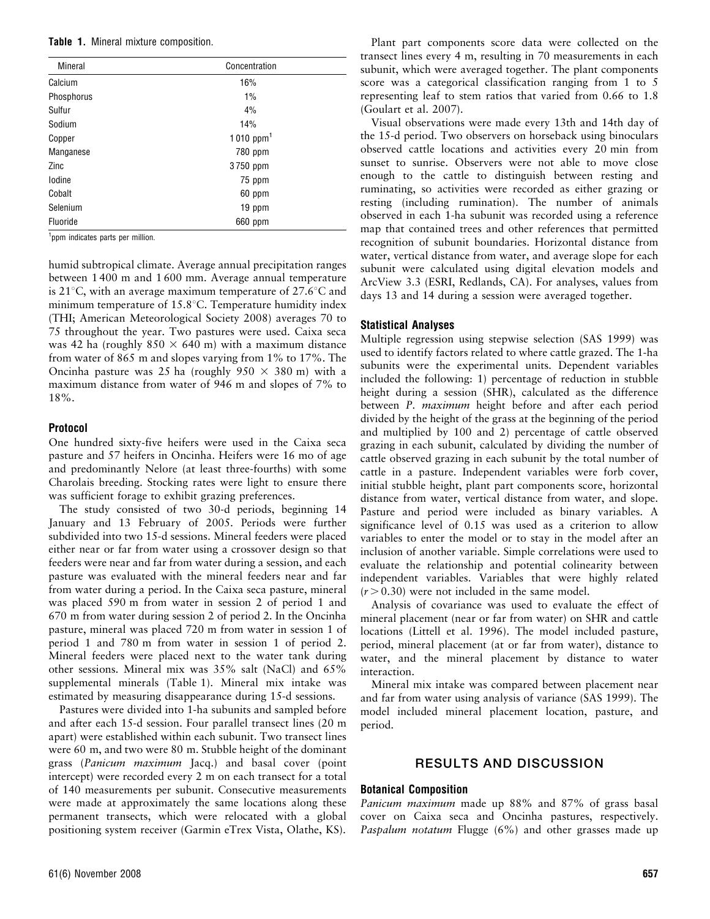Table 1. Mineral mixture composition.

| <b>Mineral</b> | Concentration<br>16%  |  |  |  |
|----------------|-----------------------|--|--|--|
| Calcium        |                       |  |  |  |
| Phosphorus     | 1%                    |  |  |  |
| Sulfur         | 4%                    |  |  |  |
| Sodium         | 14%                   |  |  |  |
| Copper         | 1010 ppm <sup>1</sup> |  |  |  |
| Manganese      | 780 ppm               |  |  |  |
| Zinc           | 3750 ppm              |  |  |  |
| lodine         | 75 ppm                |  |  |  |
| Cobalt         | 60 ppm                |  |  |  |
| Selenium       | 19 ppm                |  |  |  |
| Fluoride       | 660 ppm               |  |  |  |

<sup>1</sup>ppm indicates parts per million.

humid subtropical climate. Average annual precipitation ranges between 1 400 m and 1 600 mm. Average annual temperature is 21 $\degree$ C, with an average maximum temperature of 27.6 $\degree$ C and minimum temperature of  $15.8^{\circ}$ C. Temperature humidity index (THI; American Meteorological Society 2008) averages 70 to 75 throughout the year. Two pastures were used. Caixa seca was 42 ha (roughly  $850 \times 640$  m) with a maximum distance from water of 865 m and slopes varying from 1% to 17%. The Oncinha pasture was 25 ha (roughly  $950 \times 380$  m) with a maximum distance from water of 946 m and slopes of 7% to 18%.

### Protocol

One hundred sixty-five heifers were used in the Caixa seca pasture and 57 heifers in Oncinha. Heifers were 16 mo of age and predominantly Nelore (at least three-fourths) with some Charolais breeding. Stocking rates were light to ensure there was sufficient forage to exhibit grazing preferences.

The study consisted of two 30-d periods, beginning 14 January and 13 February of 2005. Periods were further subdivided into two 15-d sessions. Mineral feeders were placed either near or far from water using a crossover design so that feeders were near and far from water during a session, and each pasture was evaluated with the mineral feeders near and far from water during a period. In the Caixa seca pasture, mineral was placed 590 m from water in session 2 of period 1 and 670 m from water during session 2 of period 2. In the Oncinha pasture, mineral was placed 720 m from water in session 1 of period 1 and 780 m from water in session 1 of period 2. Mineral feeders were placed next to the water tank during other sessions. Mineral mix was 35% salt (NaCl) and 65% supplemental minerals (Table 1). Mineral mix intake was estimated by measuring disappearance during 15-d sessions.

Pastures were divided into 1-ha subunits and sampled before and after each 15-d session. Four parallel transect lines (20 m apart) were established within each subunit. Two transect lines were 60 m, and two were 80 m. Stubble height of the dominant grass (Panicum maximum Jacq.) and basal cover (point intercept) were recorded every 2 m on each transect for a total of 140 measurements per subunit. Consecutive measurements were made at approximately the same locations along these permanent transects, which were relocated with a global positioning system receiver (Garmin eTrex Vista, Olathe, KS).

Plant part components score data were collected on the transect lines every 4 m, resulting in 70 measurements in each subunit, which were averaged together. The plant components score was a categorical classification ranging from 1 to 5 representing leaf to stem ratios that varied from 0.66 to 1.8 (Goulart et al. 2007).

Visual observations were made every 13th and 14th day of the 15-d period. Two observers on horseback using binoculars observed cattle locations and activities every 20 min from sunset to sunrise. Observers were not able to move close enough to the cattle to distinguish between resting and ruminating, so activities were recorded as either grazing or resting (including rumination). The number of animals observed in each 1-ha subunit was recorded using a reference map that contained trees and other references that permitted recognition of subunit boundaries. Horizontal distance from water, vertical distance from water, and average slope for each subunit were calculated using digital elevation models and ArcView 3.3 (ESRI, Redlands, CA). For analyses, values from days 13 and 14 during a session were averaged together.

# Statistical Analyses

Multiple regression using stepwise selection (SAS 1999) was used to identify factors related to where cattle grazed. The 1-ha subunits were the experimental units. Dependent variables included the following: 1) percentage of reduction in stubble height during a session (SHR), calculated as the difference between P. *maximum* height before and after each period divided by the height of the grass at the beginning of the period and multiplied by 100 and 2) percentage of cattle observed grazing in each subunit, calculated by dividing the number of cattle observed grazing in each subunit by the total number of cattle in a pasture. Independent variables were forb cover, initial stubble height, plant part components score, horizontal distance from water, vertical distance from water, and slope. Pasture and period were included as binary variables. A significance level of 0.15 was used as a criterion to allow variables to enter the model or to stay in the model after an inclusion of another variable. Simple correlations were used to evaluate the relationship and potential colinearity between independent variables. Variables that were highly related  $(r > 0.30)$  were not included in the same model.

Analysis of covariance was used to evaluate the effect of mineral placement (near or far from water) on SHR and cattle locations (Littell et al. 1996). The model included pasture, period, mineral placement (at or far from water), distance to water, and the mineral placement by distance to water interaction.

Mineral mix intake was compared between placement near and far from water using analysis of variance (SAS 1999). The model included mineral placement location, pasture, and period.

# RESULTS AND DISCUSSION

# Botanical Composition

Panicum maximum made up 88% and 87% of grass basal cover on Caixa seca and Oncinha pastures, respectively. Paspalum notatum Flugge (6%) and other grasses made up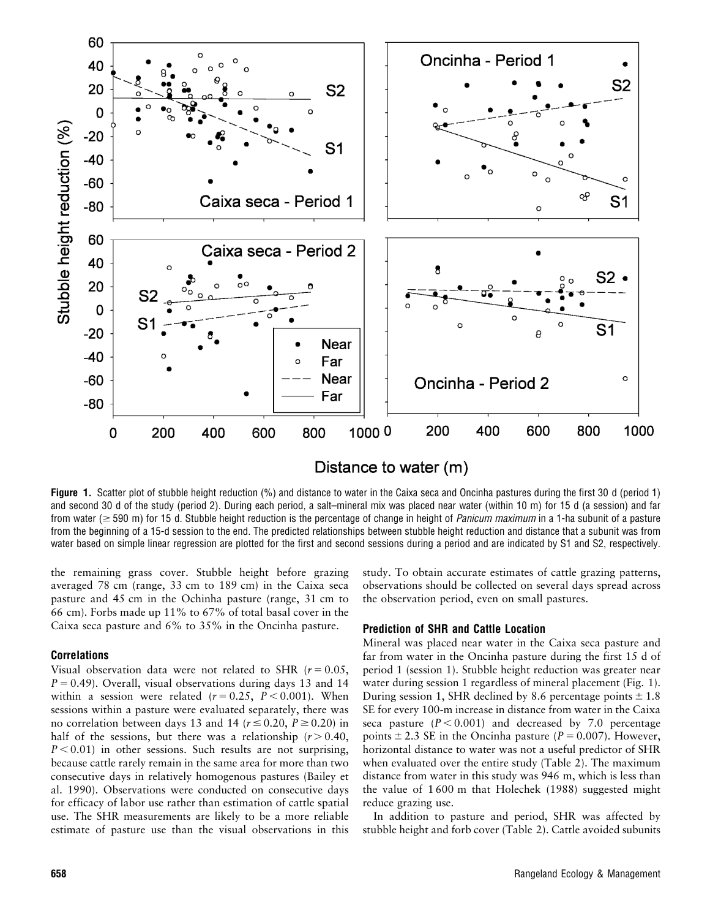

Distance to water (m)

Figure 1. Scatter plot of stubble height reduction (%) and distance to water in the Caixa seca and Oncinha pastures during the first 30 d (period 1) and second 30 d of the study (period 2). During each period, a salt–mineral mix was placed near water (within 10 m) for 15 d (a session) and far from water ( $\geq$  590 m) for 15 d. Stubble height reduction is the percentage of change in height of *Panicum maximum* in a 1-ha subunit of a pasture from the beginning of a 15-d session to the end. The predicted relationships between stubble height reduction and distance that a subunit was from water based on simple linear regression are plotted for the first and second sessions during a period and are indicated by S1 and S2, respectively.

the remaining grass cover. Stubble height before grazing averaged 78 cm (range, 33 cm to 189 cm) in the Caixa seca pasture and 45 cm in the Ochinha pasture (range, 31 cm to 66 cm). Forbs made up 11% to 67% of total basal cover in the Caixa seca pasture and 6% to 35% in the Oncinha pasture.

### Correlations

Visual observation data were not related to SHR ( $r = 0.05$ ,  $P = 0.49$ ). Overall, visual observations during days 13 and 14 within a session were related  $(r = 0.25, P < 0.001)$ . When sessions within a pasture were evaluated separately, there was no correlation between days 13 and 14 ( $r \le 0.20$ ,  $P \ge 0.20$ ) in half of the sessions, but there was a relationship  $(r > 0.40,$  $P < 0.01$ ) in other sessions. Such results are not surprising, because cattle rarely remain in the same area for more than two consecutive days in relatively homogenous pastures (Bailey et al. 1990). Observations were conducted on consecutive days for efficacy of labor use rather than estimation of cattle spatial use. The SHR measurements are likely to be a more reliable estimate of pasture use than the visual observations in this

study. To obtain accurate estimates of cattle grazing patterns, observations should be collected on several days spread across the observation period, even on small pastures.

### Prediction of SHR and Cattle Location

Mineral was placed near water in the Caixa seca pasture and far from water in the Oncinha pasture during the first 15 d of period 1 (session 1). Stubble height reduction was greater near water during session 1 regardless of mineral placement (Fig. 1). During session 1, SHR declined by 8.6 percentage points  $\pm$  1.8 SE for every 100-m increase in distance from water in the Caixa seca pasture  $(P < 0.001)$  and decreased by 7.0 percentage points  $\pm$  2.3 SE in the Oncinha pasture (P = 0.007). However, horizontal distance to water was not a useful predictor of SHR when evaluated over the entire study (Table 2). The maximum distance from water in this study was 946 m, which is less than the value of 1 600 m that Holechek (1988) suggested might reduce grazing use.

In addition to pasture and period, SHR was affected by stubble height and forb cover (Table 2). Cattle avoided subunits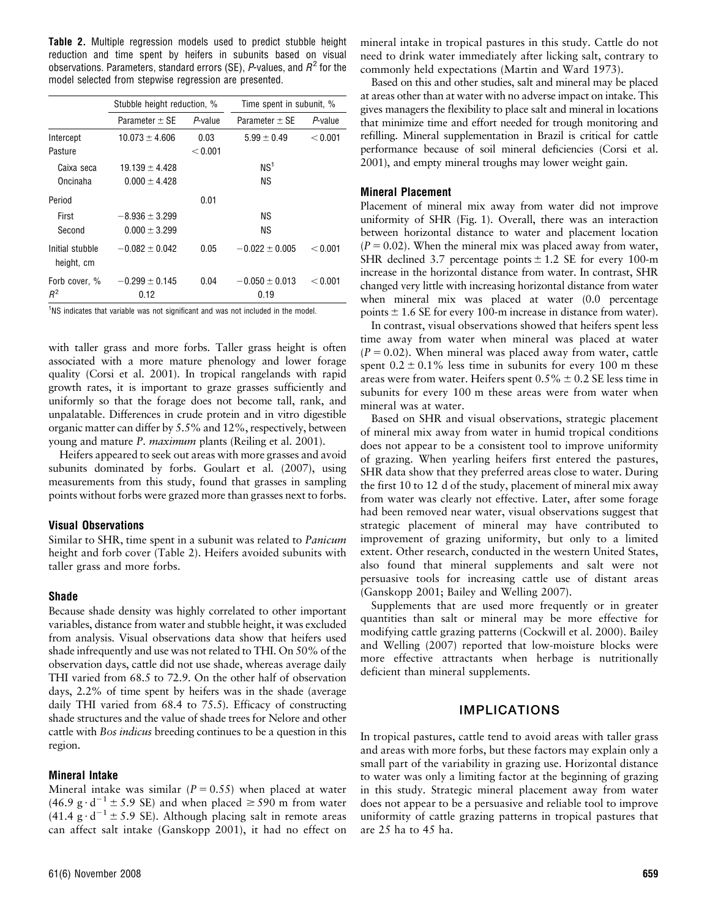Table 2. Multiple regression models used to predict stubble height reduction and time spent by heifers in subunits based on visual observations. Parameters, standard errors (SE), P-values, and  $R^2$  for the model selected from stepwise regression are presented.

|                               | Stubble height reduction, % |            | Time spent in subunit, %   |            |
|-------------------------------|-----------------------------|------------|----------------------------|------------|
|                               | Parameter $+$ SF            | $P$ -value | Parameter $+$ SF           | $P$ -value |
| Intercept                     | $10.073 \pm 4.606$          | 0.03       | $5.99 \pm 0.49$            | < 0.001    |
| Pasture                       |                             | < 0.001    |                            |            |
| Caixa seca                    | $19.139 \pm 4.428$          |            | NS <sup>1</sup>            |            |
| Oncinaha                      | $0.000 \pm 4.428$           |            | ΝS                         |            |
| Period                        |                             | 0.01       |                            |            |
| First                         | $-8.936 + 3.299$            |            | ΝS                         |            |
| Second                        | $0.000 \pm 3.299$           |            | ΝS                         |            |
| Initial stubble<br>height, cm | $-0.082 + 0.042$            | 0.05       | $-0.022 \pm 0.005$         | < 0.001    |
| Forb cover, %<br>$R^2$        | $-0.299 \pm 0.145$<br>0.12  | 0.04       | $-0.050 \pm 0.013$<br>0.19 | < 0.001    |

<sup>1</sup>NS indicates that variable was not significant and was not included in the model.

with taller grass and more forbs. Taller grass height is often associated with a more mature phenology and lower forage quality (Corsi et al. 2001). In tropical rangelands with rapid growth rates, it is important to graze grasses sufficiently and uniformly so that the forage does not become tall, rank, and unpalatable. Differences in crude protein and in vitro digestible organic matter can differ by 5.5% and 12%, respectively, between young and mature P. maximum plants (Reiling et al. 2001).

Heifers appeared to seek out areas with more grasses and avoid subunits dominated by forbs. Goulart et al. (2007), using measurements from this study, found that grasses in sampling points without forbs were grazed more than grasses next to forbs.

#### Visual Observations

Similar to SHR, time spent in a subunit was related to Panicum height and forb cover (Table 2). Heifers avoided subunits with taller grass and more forbs.

### Shade

Because shade density was highly correlated to other important variables, distance from water and stubble height, it was excluded from analysis. Visual observations data show that heifers used shade infrequently and use was not related to THI. On 50% of the observation days, cattle did not use shade, whereas average daily THI varied from 68.5 to 72.9. On the other half of observation days, 2.2% of time spent by heifers was in the shade (average daily THI varied from 68.4 to 75.5). Efficacy of constructing shade structures and the value of shade trees for Nelore and other cattle with Bos indicus breeding continues to be a question in this region.

### Mineral Intake

Mineral intake was similar ( $P = 0.55$ ) when placed at water (46.9 g $\cdot$  d<sup>-1</sup> ± 5.9 SE) and when placed  $\ge$  590 m from water (41.4  $g \cdot d^{-1} \pm 5.9$  SE). Although placing salt in remote areas can affect salt intake (Ganskopp 2001), it had no effect on

mineral intake in tropical pastures in this study. Cattle do not need to drink water immediately after licking salt, contrary to commonly held expectations (Martin and Ward 1973).

Based on this and other studies, salt and mineral may be placed at areas other than at water with no adverse impact on intake. This gives managers the flexibility to place salt and mineral in locations that minimize time and effort needed for trough monitoring and refilling. Mineral supplementation in Brazil is critical for cattle performance because of soil mineral deficiencies (Corsi et al. 2001), and empty mineral troughs may lower weight gain.

### Mineral Placement

Placement of mineral mix away from water did not improve uniformity of SHR (Fig. 1). Overall, there was an interaction between horizontal distance to water and placement location  $(P = 0.02)$ . When the mineral mix was placed away from water, SHR declined 3.7 percentage points  $\pm$  1.2 SE for every 100-m increase in the horizontal distance from water. In contrast, SHR changed very little with increasing horizontal distance from water when mineral mix was placed at water (0.0 percentage points  $\pm$  1.6 SE for every 100-m increase in distance from water).

In contrast, visual observations showed that heifers spent less time away from water when mineral was placed at water  $(P = 0.02)$ . When mineral was placed away from water, cattle spent  $0.2 \pm 0.1\%$  less time in subunits for every 100 m these areas were from water. Heifers spent  $0.5\% \pm 0.2$  SE less time in subunits for every 100 m these areas were from water when mineral was at water.

Based on SHR and visual observations, strategic placement of mineral mix away from water in humid tropical conditions does not appear to be a consistent tool to improve uniformity of grazing. When yearling heifers first entered the pastures, SHR data show that they preferred areas close to water. During the first 10 to 12 d of the study, placement of mineral mix away from water was clearly not effective. Later, after some forage had been removed near water, visual observations suggest that strategic placement of mineral may have contributed to improvement of grazing uniformity, but only to a limited extent. Other research, conducted in the western United States, also found that mineral supplements and salt were not persuasive tools for increasing cattle use of distant areas (Ganskopp 2001; Bailey and Welling 2007).

Supplements that are used more frequently or in greater quantities than salt or mineral may be more effective for modifying cattle grazing patterns (Cockwill et al. 2000). Bailey and Welling (2007) reported that low-moisture blocks were more effective attractants when herbage is nutritionally deficient than mineral supplements.

### IMPLICATIONS

In tropical pastures, cattle tend to avoid areas with taller grass and areas with more forbs, but these factors may explain only a small part of the variability in grazing use. Horizontal distance to water was only a limiting factor at the beginning of grazing in this study. Strategic mineral placement away from water does not appear to be a persuasive and reliable tool to improve uniformity of cattle grazing patterns in tropical pastures that are 25 ha to 45 ha.